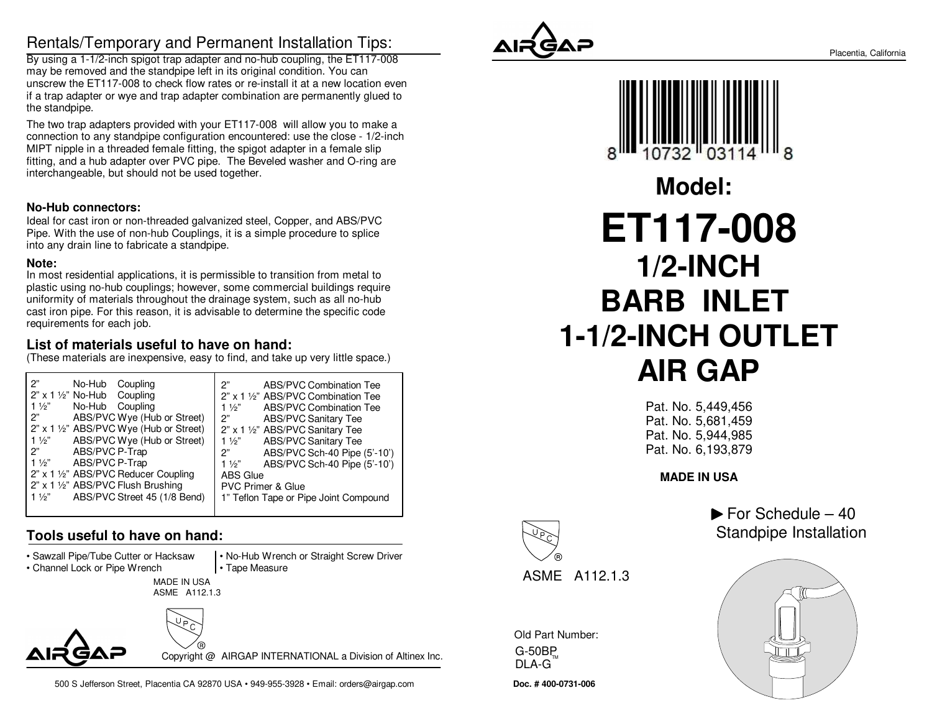# Rentals/Temporary and Permanent Installation Tips:

 By using a 1-1/2-inch spigot trap adapter and no-hub coupling, the ET117-008may be removed and the standpipe left in its original condition. You can unscrew the ET117-008 to check flow rates or re-install it at a new location even if a trap adapter or wye and trap adapter combination are permanently glued tothe standpipe.

The two trap adapters provided with your ET117-008 will allow you to make a connection to any standpipe configuration encountered: use the close - 1/2-inchMIPT nipple in a threaded female fitting, the spigot adapter in a female slip fitting, and a hub adapter over PVC pipe. The Beveled washer and O-ring areinterchangeable, but should not be used together.

#### **No-Hub connectors:**

 Ideal for cast iron or non-threaded galvanized steel, Copper, and ABS/PVC Pipe. With the use of non-hub Couplings, it is a simple procedure to spliceinto any drain line to fabricate a standpipe.

#### **Note:**

 In most residential applications, it is permissible to transition from metal to plastic using no-hub couplings; however, some commercial buildings requireuniformity of materials throughout the drainage system, such as all no-hub cast iron pipe. For this reason, it is advisable to determine the specific coderequirements for each job.

### **List of materials useful to have on hand:**

(These materials are inexpensive, easy to find, and take up very little space.)

| 2"                                             | <b>ABS/PVC Combination Tee</b>        |
|------------------------------------------------|---------------------------------------|
| No-Hub Coupling                                | 2"                                    |
| $2"$ x 1 1/2" No-Hub Coupling                  | 2" x 1 1/2" ABS/PVC Combination Tee   |
| No-Hub Coupling                                | ABS/PVC Combination Tee               |
| $1\frac{1}{2}$                                 | $1\frac{1}{2}$                        |
| ABS/PVC Wye (Hub or Street)                    | <b>ABS/PVC Sanitary Tee</b>           |
| 2"                                             | 2"                                    |
| 2" x 1 1/2" ABS/PVC Wye (Hub or Street)        | 2" x 1 1/2" ABS/PVC Sanitary Tee      |
| ABS/PVC Wye (Hub or Street)                    | <b>ABS/PVC Sanitary Tee</b>           |
| $1\frac{1}{2}$                                 | $1\frac{1}{2}$                        |
| ABS/PVC P-Trap                                 | ABS/PVC Sch-40 Pipe (5'-10')          |
| 2"                                             | 2"                                    |
| ABS/PVC P-Trap                                 | ABS/PVC Sch-40 Pipe (5'-10')          |
| $1\frac{1}{2}$                                 | $1\frac{1}{2}$                        |
| 2" x 1 1/2" ABS/PVC Reducer Coupling           | <b>ABS Glue</b>                       |
| 2" x 1 1/2" ABS/PVC Flush Brushing             | <b>PVC Primer &amp; Glue</b>          |
| ABS/PVC Street 45 (1/8 Bend)<br>$1\frac{1}{2}$ | 1" Teflon Tape or Pipe Joint Compound |

## **Tools useful to have on hand:**

• Sawzall Pipe/Tube Cutter or Hacksaw

• Channel Lock or Pipe Wrench

 MADE IN USAASME A112.1.3



Copyright @ AIRGAP INTERNATIONAL a Division of Altinex Inc.

• No-Hub Wrench or Straight Screw Driver

• Tape Measure



**Doc. # 400-0731-006**

Old Part Number:

G-50BPDLA-G $^{\text{\tiny{TM}}}$ 

ASME A112.1.3



Pat. No. 5,449,456 Pat. No. 5,681,459 Pat. No. 5,944,985Pat. No. 6,193,879

**MADE IN USA**

 $\blacktriangleright$  For Schedule – 40 Standpipe Installation